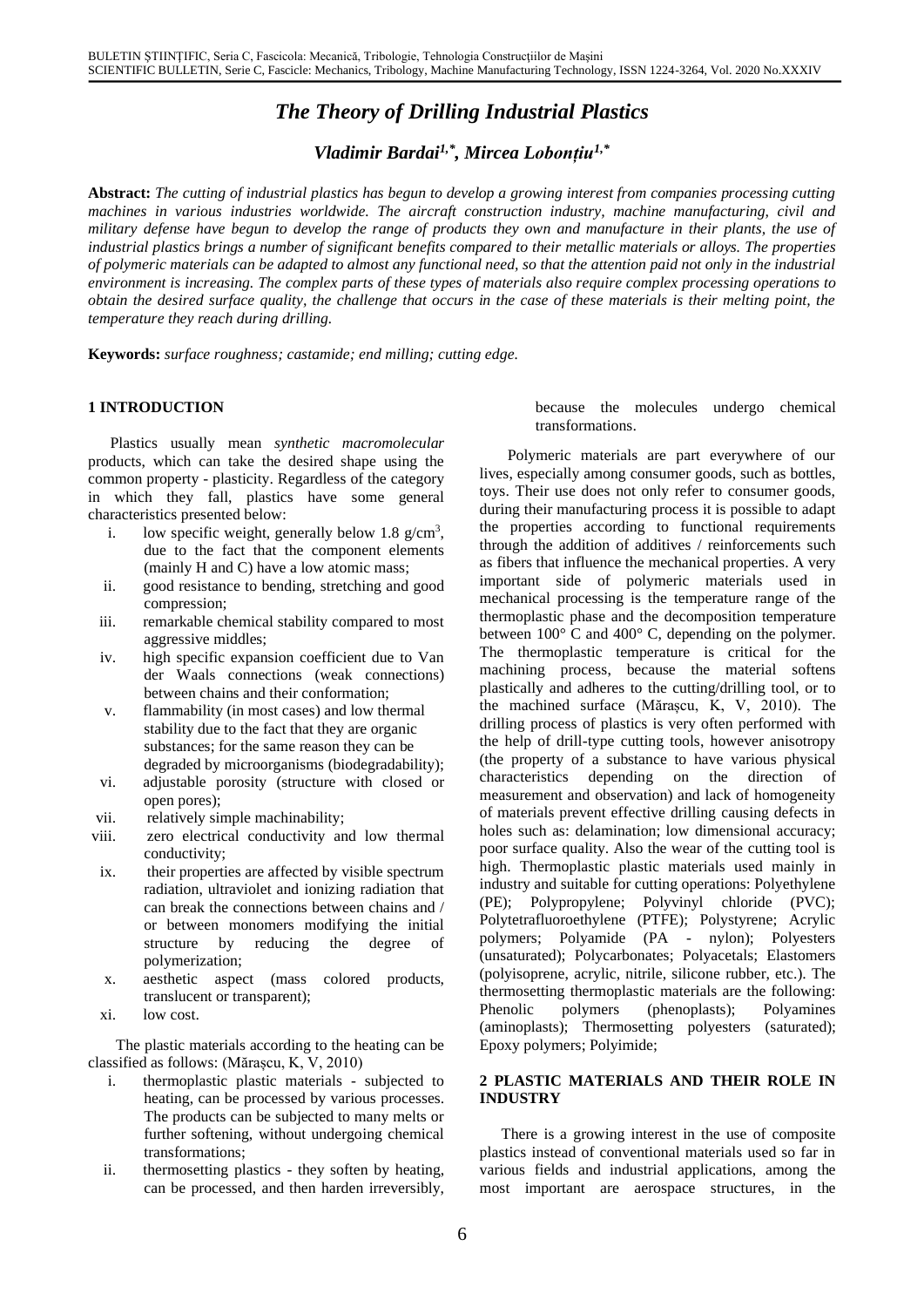# *The Theory of Drilling Industrial Plastics*

*Vladimir Bardai1,\* , Mircea Lobonțiu1,\**

**Abstract:** *The cutting of industrial plastics has begun to develop a growing interest from companies processing cutting machines in various industries worldwide. The aircraft construction industry, machine manufacturing, civil and military defense have begun to develop the range of products they own and manufacture in their plants, the use of industrial plastics brings a number of significant benefits compared to their metallic materials or alloys. The properties of polymeric materials can be adapted to almost any functional need, so that the attention paid not only in the industrial environment is increasing. The complex parts of these types of materials also require complex processing operations to obtain the desired surface quality, the challenge that occurs in the case of these materials is their melting point, the temperature they reach during drilling.*

**Keywords:** *surface roughness; castamide; end milling; cutting edge.*

Plastics usually mean *synthetic macromolecular* products, which can take the desired shape using the common property - plasticity. Regardless of the category in which they fall, plastics have some general characteristics presented below:

- i. low specific weight, generally below  $1.8 \text{ g/cm}^3$ , due to the fact that the component elements (mainly H and C) have a low atomic mass;
- ii. good resistance to bending, stretching and good compression;
- iii. remarkable chemical stability compared to most aggressive middles;
- iv. high specific expansion coefficient due to Van der Waals connections (weak connections) between chains and their conformation;
- v. flammability (in most cases) and low thermal stability due to the fact that they are organic substances; for the same reason they can be degraded by microorganisms (biodegradability);
- vi. adjustable porosity (structure with closed or open pores);
- vii. relatively simple machinability;
- viii. zero electrical conductivity and low thermal conductivity;
- ix. their properties are affected by visible spectrum radiation, ultraviolet and ionizing radiation that can break the connections between chains and / or between monomers modifying the initial structure by reducing the degree of polymerization;
- x. aesthetic aspect (mass colored products, translucent or transparent);
- xi. low cost.

The plastic materials according to the heating can be classified as follows: (Mărașcu, K, V, 2010)

- i. thermoplastic plastic materials subjected to heating, can be processed by various processes. The products can be subjected to many melts or further softening, without undergoing chemical transformations;
- ii. thermosetting plastics they soften by heating, can be processed, and then harden irreversibly,

**1 INTRODUCTION** because the molecules undergo chemical transformations.

> Polymeric materials are part everywhere of our lives, especially among consumer goods, such as bottles, toys. Their use does not only refer to consumer goods, during their manufacturing process it is possible to adapt the properties according to functional requirements through the addition of additives / reinforcements such as fibers that influence the mechanical properties. A very important side of polymeric materials used in mechanical processing is the temperature range of the thermoplastic phase and the decomposition temperature between 100° C and 400° C, depending on the polymer. The thermoplastic temperature is critical for the machining process, because the material softens plastically and adheres to the cutting/drilling tool, or to the machined surface (Mărașcu, K, V, 2010). The drilling process of plastics is very often performed with the help of drill-type cutting tools, however anisotropy (the property of a substance to have various physical characteristics depending on the direction of measurement and observation) and lack of homogeneity of materials prevent effective drilling causing defects in holes such as: delamination; low dimensional accuracy; poor surface quality. Also the wear of the cutting tool is high. Thermoplastic plastic materials used mainly in industry and suitable for cutting operations: Polyethylene (PE); Polypropylene; Polyvinyl chloride (PVC); Polytetrafluoroethylene (PTFE); Polystyrene; Acrylic polymers; Polyamide (PA - nylon); Polyesters (unsaturated); Polycarbonates; Polyacetals; Elastomers (polyisoprene, acrylic, nitrile, silicone rubber, etc.). The thermosetting thermoplastic materials are the following: Phenolic polymers (phenoplasts); Polyamines (aminoplasts); Thermosetting polyesters (saturated); Epoxy polymers; Polyimide;

# **2 PLASTIC MATERIALS AND THEIR ROLE IN INDUSTRY**

There is a growing interest in the use of composite plastics instead of conventional materials used so far in various fields and industrial applications, among the most important are aerospace structures, in the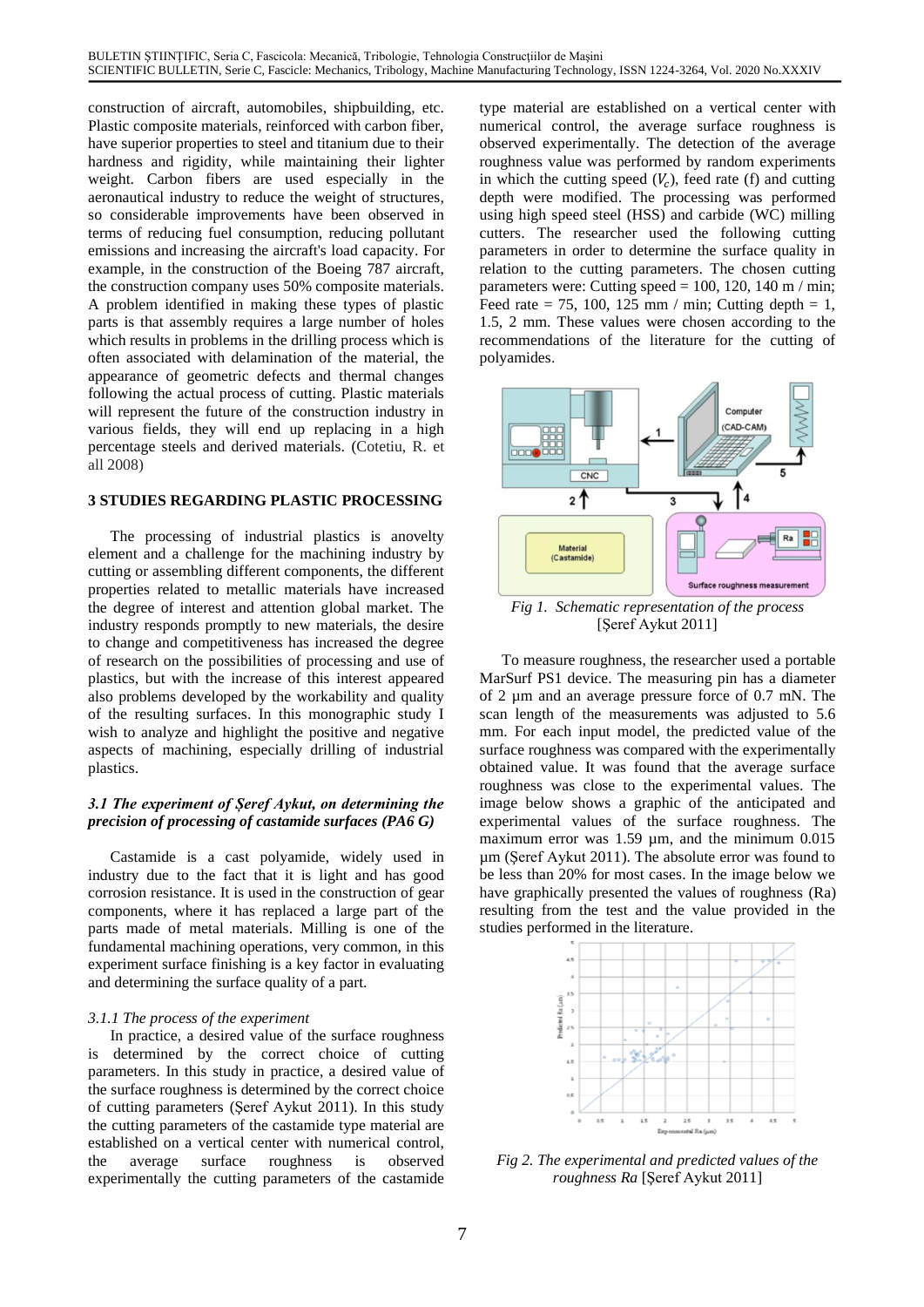construction of aircraft, automobiles, shipbuilding, etc. Plastic composite materials, reinforced with carbon fiber, have superior properties to steel and titanium due to their hardness and rigidity, while maintaining their lighter weight. Carbon fibers are used especially in the aeronautical industry to reduce the weight of structures, so considerable improvements have been observed in terms of reducing fuel consumption, reducing pollutant emissions and increasing the aircraft's load capacity. For example, in the construction of the Boeing 787 aircraft, the construction company uses 50% composite materials. A problem identified in making these types of plastic parts is that assembly requires a large number of holes which results in problems in the drilling process which is often associated with delamination of the material, the appearance of geometric defects and thermal changes following the actual process of cutting. Plastic materials will represent the future of the construction industry in various fields, they will end up replacing in a high percentage steels and derived materials. (Cotetiu, R. et all 2008)

# **3 STUDIES REGARDING PLASTIC PROCESSING**

The processing of industrial plastics is anovelty element and a challenge for the machining industry by cutting or assembling different components, the different properties related to metallic materials have increased the degree of interest and attention global market. The industry responds promptly to new materials, the desire to change and competitiveness has increased the degree of research on the possibilities of processing and use of plastics, but with the increase of this interest appeared also problems developed by the workability and quality of the resulting surfaces. In this monographic study I wish to analyze and highlight the positive and negative aspects of machining, especially drilling of industrial plastics.

# *3.1 The experiment of Șeref Aykut, on determining the precision of processing of castamide surfaces (PA6 G)*

Castamide is a cast polyamide, widely used in industry due to the fact that it is light and has good corrosion resistance. It is used in the construction of gear components, where it has replaced a large part of the parts made of metal materials. Milling is one of the fundamental machining operations, very common, in this experiment surface finishing is a key factor in evaluating and determining the surface quality of a part.

# *3.1.1 The process of the experiment*

In practice, a desired value of the surface roughness is determined by the correct choice of cutting parameters. In this study in practice, a desired value of the surface roughness is determined by the correct choice of cutting parameters (Şeref Aykut 2011). In this study the cutting parameters of the castamide type material are established on a vertical center with numerical control, the average surface roughness is observed experimentally the cutting parameters of the castamide

type material are established on a vertical center with numerical control, the average surface roughness is observed experimentally. The detection of the average roughness value was performed by random experiments in which the cutting speed  $(V_c)$ , feed rate (f) and cutting depth were modified. The processing was performed using high speed steel (HSS) and carbide (WC) milling cutters. The researcher used the following cutting parameters in order to determine the surface quality in relation to the cutting parameters. The chosen cutting parameters were: Cutting speed =  $100$ ,  $120$ ,  $140$  m / min; Feed rate = 75, 100, 125 mm / min; Cutting depth = 1, 1.5, 2 mm. These values were chosen according to the recommendations of the literature for the cutting of polyamides.



*Fig 1. Schematic representation of the process* [Şeref Aykut 2011]

To measure roughness, the researcher used a portable MarSurf PS1 device. The measuring pin has a diameter of 2 µm and an average pressure force of 0.7 mN. The scan length of the measurements was adjusted to 5.6 mm. For each input model, the predicted value of the surface roughness was compared with the experimentally obtained value. It was found that the average surface roughness was close to the experimental values. The image below shows a graphic of the anticipated and experimental values of the surface roughness. The maximum error was  $1.59 \mu m$ , and the minimum  $0.015$ µm (Şeref Aykut 2011). The absolute error was found to be less than 20% for most cases. In the image below we have graphically presented the values of roughness (Ra) resulting from the test and the value provided in the studies performed in the literature.



*Fig 2. The experimental and predicted values of the roughness Ra* [Şeref Aykut 2011]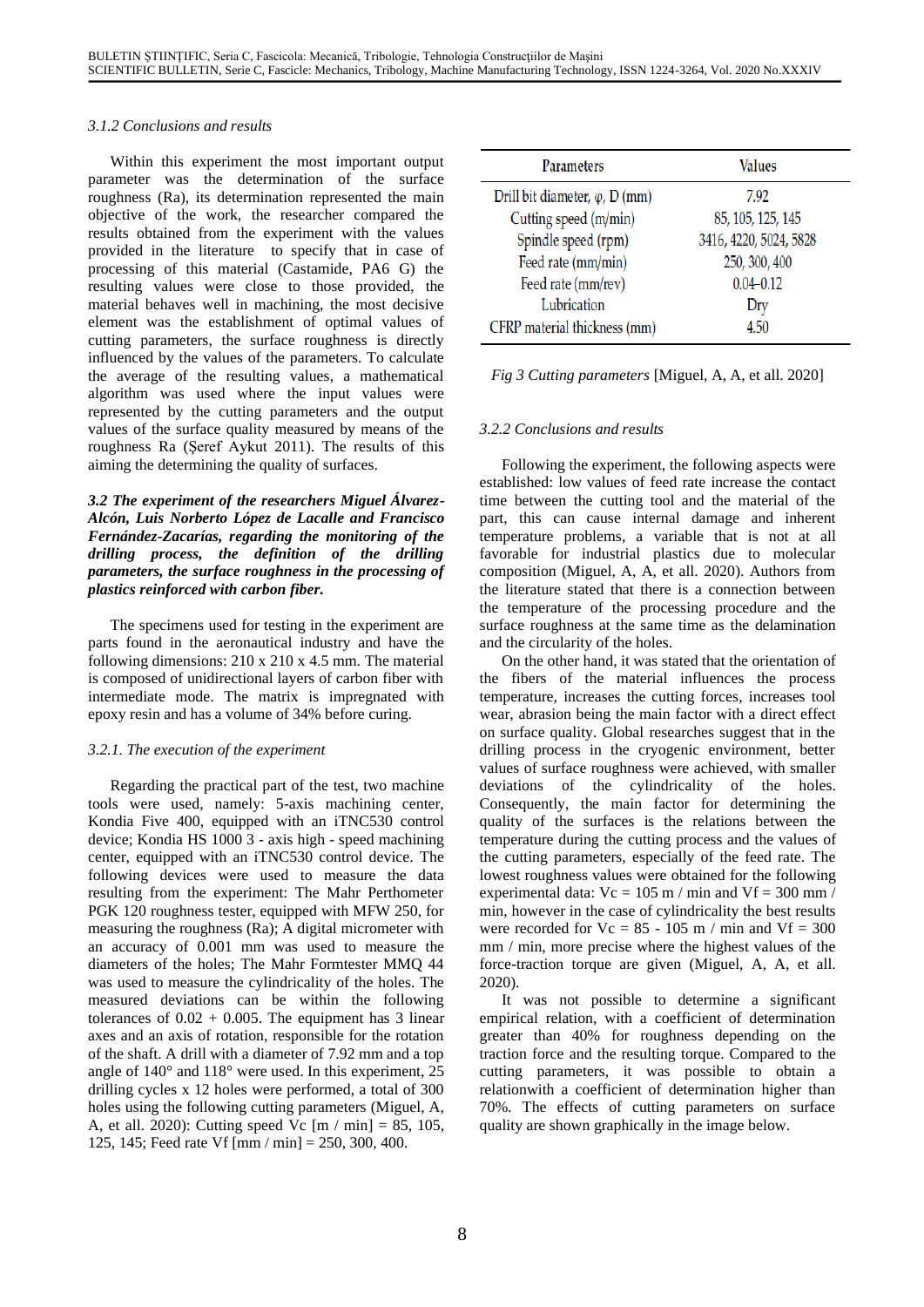# *3.1.2 Conclusions and results*

Within this experiment the most important output parameter was the determination of the surface roughness (Ra), its determination represented the main objective of the work, the researcher compared the results obtained from the experiment with the values provided in the literature to specify that in case of processing of this material (Castamide, PA6 G) the resulting values were close to those provided, the material behaves well in machining, the most decisive element was the establishment of optimal values of cutting parameters, the surface roughness is directly influenced by the values of the parameters. To calculate the average of the resulting values, a mathematical algorithm was used where the input values were represented by the cutting parameters and the output values of the surface quality measured by means of the roughness Ra (Şeref Aykut 2011). The results of this aiming the determining the quality of surfaces.

*3.2 The experiment of the researchers Miguel Álvarez-Alcón, Luis Norberto López de Lacalle and Francisco Fernández-Zacarías, regarding the monitoring of the drilling process, the definition of the drilling parameters, the surface roughness in the processing of plastics reinforced with carbon fiber.*

The specimens used for testing in the experiment are parts found in the aeronautical industry and have the following dimensions: 210 x 210 x 4.5 mm. The material is composed of unidirectional layers of carbon fiber with intermediate mode. The matrix is impregnated with epoxy resin and has a volume of 34% before curing.

### *3.2.1. The execution of the experiment*

Regarding the practical part of the test, two machine tools were used, namely: 5-axis machining center, Kondia Five 400, equipped with an iTNC530 control device; Kondia HS 1000 3 - axis high - speed machining center, equipped with an iTNC530 control device. The following devices were used to measure the data resulting from the experiment: The Mahr Perthometer PGK 120 roughness tester, equipped with MFW 250, for measuring the roughness (Ra); A digital micrometer with an accuracy of 0.001 mm was used to measure the diameters of the holes; The Mahr Formtester MMQ 44 was used to measure the cylindricality of the holes. The measured deviations can be within the following tolerances of  $0.02 + 0.005$ . The equipment has 3 linear axes and an axis of rotation, responsible for the rotation of the shaft. A drill with a diameter of 7.92 mm and a top angle of 140° and 118° were used. In this experiment, 25 drilling cycles x 12 holes were performed, a total of 300 holes using the following cutting parameters (Miguel, A, A, et all. 2020): Cutting speed Vc [m / min] = 85, 105, 125, 145; Feed rate Vf [mm / min] = 250, 300, 400.

| Parameters                             | Values                 |
|----------------------------------------|------------------------|
| Drill bit diameter, $\varphi$ , D (mm) | 7.92                   |
| Cutting speed (m/min)                  | 85, 105, 125, 145      |
| Spindle speed (rpm)                    | 3416, 4220, 5024, 5828 |
| Feed rate (mm/min)                     | 250, 300, 400          |
| Feed rate (mm/rev)                     | $0.04 - 0.12$          |
| Lubrication                            | Dry                    |
| CFRP material thickness (mm)           | 4.50                   |

*Fig 3 Cutting parameters* [Miguel, A, A, et all. 2020]

### *3.2.2 Conclusions and results*

Following the experiment, the following aspects were established: low values of feed rate increase the contact time between the cutting tool and the material of the part, this can cause internal damage and inherent temperature problems, a variable that is not at all favorable for industrial plastics due to molecular composition (Miguel, A, A, et all. 2020). Authors from the literature stated that there is a connection between the temperature of the processing procedure and the surface roughness at the same time as the delamination and the circularity of the holes.

On the other hand, it was stated that the orientation of the fibers of the material influences the process temperature, increases the cutting forces, increases tool wear, abrasion being the main factor with a direct effect on surface quality. Global researches suggest that in the drilling process in the cryogenic environment, better values of surface roughness were achieved, with smaller deviations of the cylindricality of the holes. Consequently, the main factor for determining the quality of the surfaces is the relations between the temperature during the cutting process and the values of the cutting parameters, especially of the feed rate. The lowest roughness values were obtained for the following experimental data:  $Vc = 105$  m / min and Vf = 300 mm / min, however in the case of cylindricality the best results were recorded for  $Vc = 85 - 105$  m / min and  $Vf = 300$ mm / min, more precise where the highest values of the force-traction torque are given (Miguel, A, A, et all. 2020).

It was not possible to determine a significant empirical relation, with a coefficient of determination greater than 40% for roughness depending on the traction force and the resulting torque. Compared to the cutting parameters, it was possible to obtain a relationwith a coefficient of determination higher than 70%. The effects of cutting parameters on surface quality are shown graphically in the image below.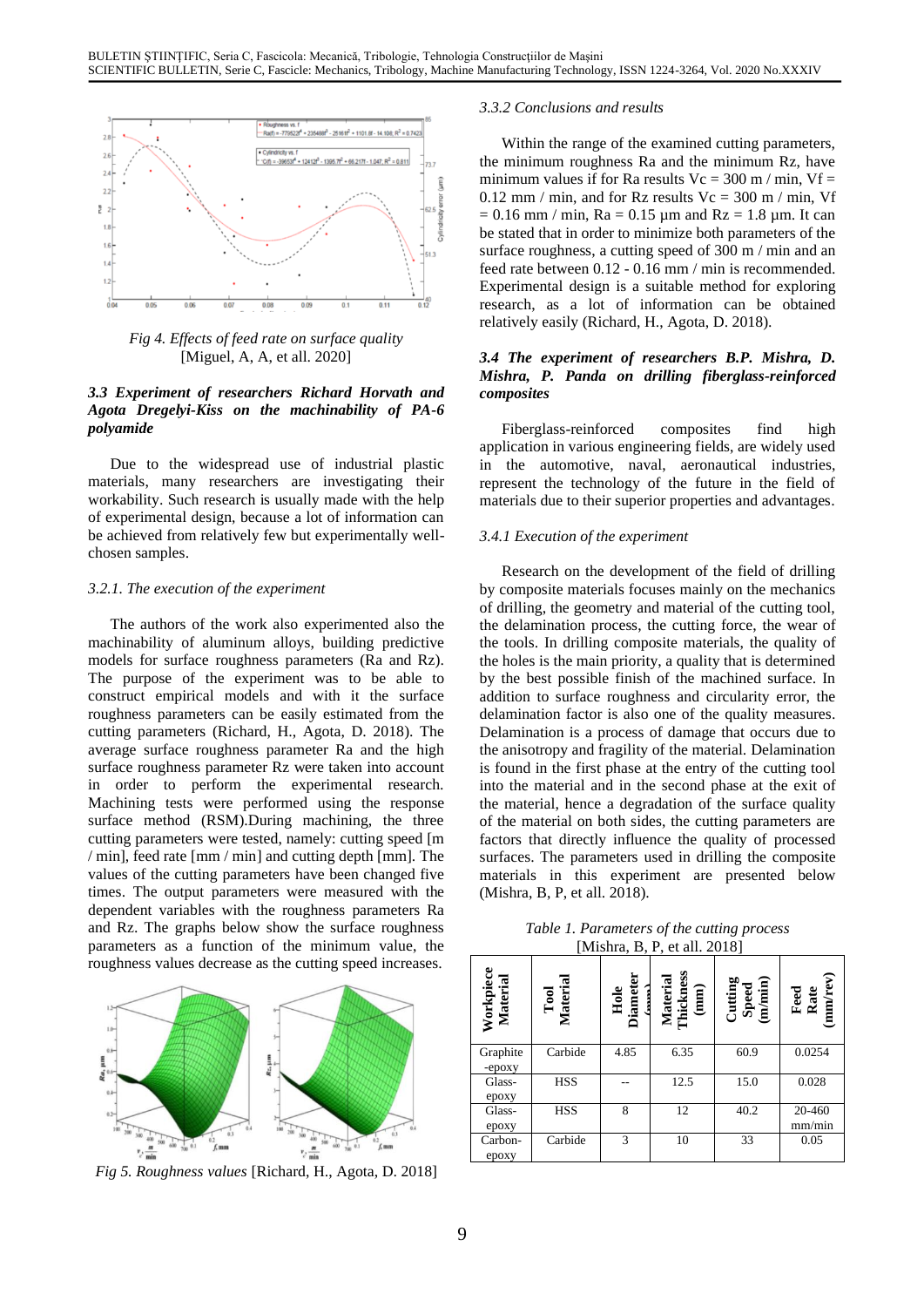

*Fig 4. Effects of feed rate on surface quality*

# *3.3 Experiment of researchers Richard Horvath and composites Agota Dregelyi-Kiss on the machinability of PA-6 polyamide* Fiberglass-reinforced composites find high

Due to the widespread use of industrial plastic materials, many researchers are investigating their workability. Such research is usually made with the help of experimental design, because a lot of information can be achieved from relatively few but experimentally wellchosen samples.

# *3.2.1. The execution of the experiment*

The authors of the work also experimented also the machinability of aluminum alloys, building predictive models for surface roughness parameters (Ra and Rz). The purpose of the experiment was to be able to construct empirical models and with it the surface roughness parameters can be easily estimated from the cutting parameters (Richard, H., Agota, D. 2018). The average surface roughness parameter Ra and the high surface roughness parameter Rz were taken into account in order to perform the experimental research. Machining tests were performed using the response surface method (RSM).During machining, the three cutting parameters were tested, namely: cutting speed [m / min], feed rate [mm / min] and cutting depth [mm]. The values of the cutting parameters have been changed five times. The output parameters were measured with the dependent variables with the roughness parameters Ra and Rz. The graphs below show the surface roughness parameters as a function of the minimum value, the roughness values decrease as the cutting speed increases.



*Fig 5. Roughness values* [Richard, H., Agota, D. 2018]

#### *3.3.2 Conclusions and results*

Within the range of the examined cutting parameters, the minimum roughness Ra and the minimum Rz, have minimum values if for Ra results  $Vc = 300$  m / min, Vf =  $0.12$  mm / min, and for Rz results Vc = 300 m / min, Vf  $= 0.16$  mm / min, Ra  $= 0.15$  µm and Rz  $= 1.8$  µm. It can be stated that in order to minimize both parameters of the surface roughness, a cutting speed of 300 m / min and an feed rate between 0.12 - 0.16 mm / min is recommended. Experimental design is a suitable method for exploring research, as a lot of information can be obtained relatively easily (Richard, H., Agota, D. 2018).

# [Miguel, A, A, et all. 2020] *3.4 The experiment of researchers B.P. Mishra, D. Mishra, P. Panda on drilling fiberglass-reinforced*

application in various engineering fields, are widely used in the automotive, naval, aeronautical industries, represent the technology of the future in the field of materials due to their superior properties and advantages.

### *3.4.1 Execution of the experiment*

Research on the development of the field of drilling by composite materials focuses mainly on the mechanics of drilling, the geometry and material of the cutting tool, the delamination process, the cutting force, the wear of the tools. In drilling composite materials, the quality of the holes is the main priority, a quality that is determined by the best possible finish of the machined surface. In addition to surface roughness and circularity error, the delamination factor is also one of the quality measures. Delamination is a process of damage that occurs due to the anisotropy and fragility of the material. Delamination is found in the first phase at the entry of the cutting tool into the material and in the second phase at the exit of the material, hence a degradation of the surface quality of the material on both sides, the cutting parameters are factors that directly influence the quality of processed surfaces. The parameters used in drilling the composite materials in this experiment are presented below (Mishra, B, P, et all. 2018).

*Table 1. Parameters of the cutting process* [Mishra, B, P, et all. 2018]

| $1.11.01114$ , $1.1$ , $1.01$ and $2010$ |                  |                  |                               |                                                                                 |                          |  |
|------------------------------------------|------------------|------------------|-------------------------------|---------------------------------------------------------------------------------|--------------------------|--|
| Workpiece<br>Material                    | Tool<br>Material | Hole<br>Diameter | Material<br>Thickness<br>(mm) | $\begin{array}{c} \text{Cutting} \\ \text{Speed} \\ \text{(m/min)} \end{array}$ | Feed<br>Rate<br>(mm/rev) |  |
| Graphite<br>-epoxy                       | Carbide          | 4.85             | 6.35                          | 60.9                                                                            | 0.0254                   |  |
| Glass-<br>ероху                          | <b>HSS</b>       |                  | 12.5                          | 15.0                                                                            | 0.028                    |  |
| Glass-<br>epoxy                          | <b>HSS</b>       | 8                | 12                            | 40.2                                                                            | 20-460<br>mm/min         |  |
| Carbon-<br>epoxy                         | Carbide          | 3                | 10                            | 33                                                                              | 0.05                     |  |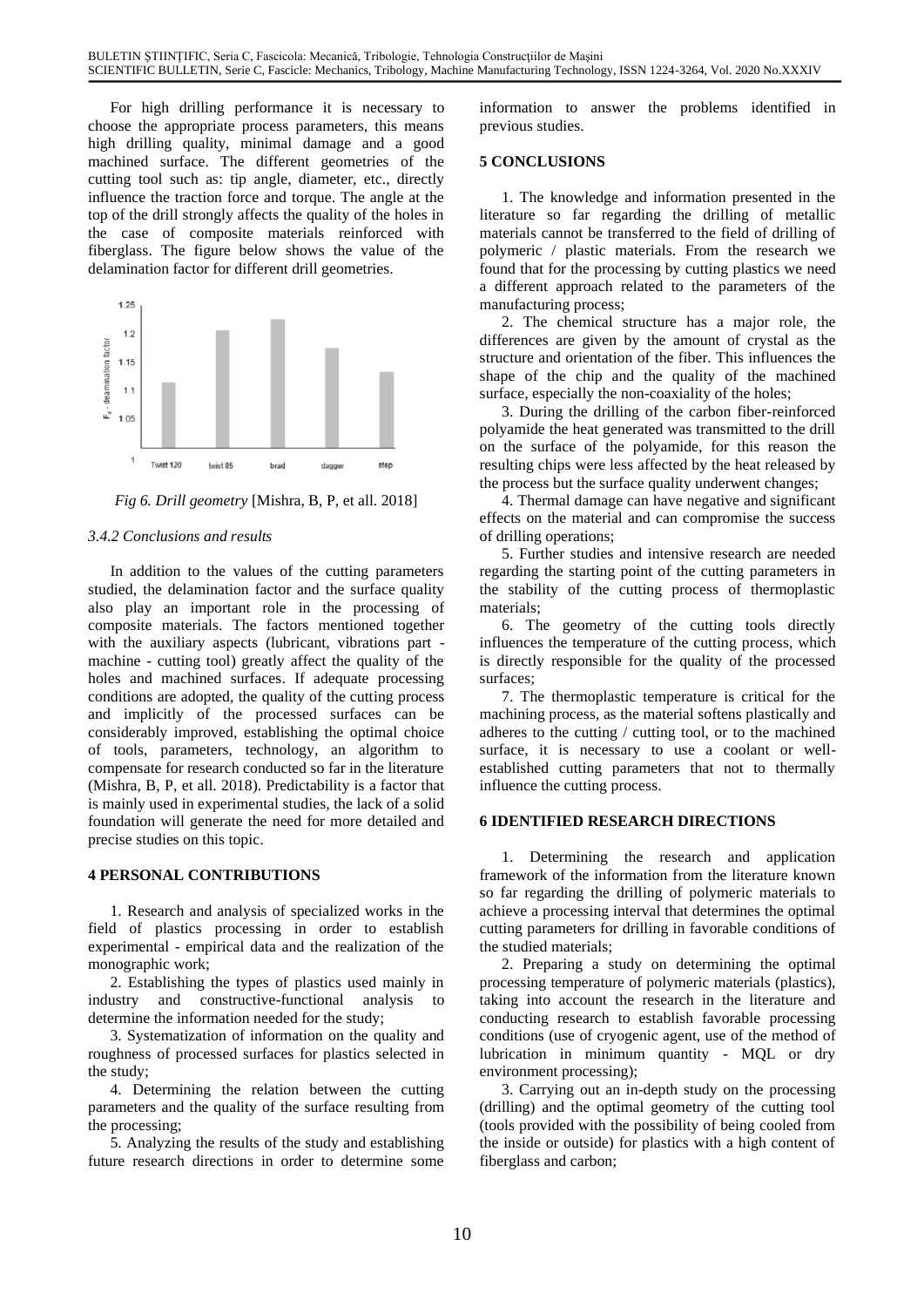For high drilling performance it is necessary to choose the appropriate process parameters, this means high drilling quality, minimal damage and a good machined surface. The different geometries of the cutting tool such as: tip angle, diameter, etc., directly influence the traction force and torque. The angle at the top of the drill strongly affects the quality of the holes in the case of composite materials reinforced with fiberglass. The figure below shows the value of the delamination factor for different drill geometries.



# *3.4.2 Conclusions and results* of drilling operations;

In addition to the values of the cutting parameters studied, the delamination factor and the surface quality also play an important role in the processing of composite materials. The factors mentioned together with the auxiliary aspects (lubricant, vibrations part machine - cutting tool) greatly affect the quality of the holes and machined surfaces. If adequate processing conditions are adopted, the quality of the cutting process and implicitly of the processed surfaces can be considerably improved, establishing the optimal choice of tools, parameters, technology, an algorithm to compensate for research conducted so far in the literature (Mishra, B, P, et all. 2018). Predictability is a factor that is mainly used in experimental studies, the lack of a solid foundation will generate the need for more detailed and precise studies on this topic.

# **4 PERSONAL CONTRIBUTIONS**

1. Research and analysis of specialized works in the field of plastics processing in order to establish experimental - empirical data and the realization of the monographic work; 2. Preparing a study on determining the optimal

2. Establishing the types of plastics used mainly in industry and constructive-functional analysis to determine the information needed for the study;

3. Systematization of information on the quality and roughness of processed surfaces for plastics selected in the study;

4. Determining the relation between the cutting parameters and the quality of the surface resulting from the processing;

5. Analyzing the results of the study and establishing future research directions in order to determine some

information to answer the problems identified in previous studies.

# **5 CONCLUSIONS**

1. The knowledge and information presented in the literature so far regarding the drilling of metallic materials cannot be transferred to the field of drilling of polymeric / plastic materials. From the research we found that for the processing by cutting plastics we need a different approach related to the parameters of the manufacturing process;

2. The chemical structure has a major role, the differences are given by the amount of crystal as the structure and orientation of the fiber. This influences the shape of the chip and the quality of the machined surface, especially the non-coaxiality of the holes;

3. During the drilling of the carbon fiber-reinforced polyamide the heat generated was transmitted to the drill on the surface of the polyamide, for this reason the resulting chips were less affected by the heat released by the process but the surface quality underwent changes;

*Fig 6. Drill geometry* [Mishra, B, P, et all. 2018] 4. Thermal damage can have negative and significant effects on the material and can compromise the success

5. Further studies and intensive research are needed regarding the starting point of the cutting parameters in the stability of the cutting process of thermoplastic materials;

6. The geometry of the cutting tools directly influences the temperature of the cutting process, which is directly responsible for the quality of the processed surfaces;

7. The thermoplastic temperature is critical for the machining process, as the material softens plastically and adheres to the cutting / cutting tool, or to the machined surface, it is necessary to use a coolant or wellestablished cutting parameters that not to thermally influence the cutting process.

# **6 IDENTIFIED RESEARCH DIRECTIONS**

1. Determining the research and application framework of the information from the literature known so far regarding the drilling of polymeric materials to achieve a processing interval that determines the optimal cutting parameters for drilling in favorable conditions of the studied materials;

processing temperature of polymeric materials (plastics), taking into account the research in the literature and conducting research to establish favorable processing conditions (use of cryogenic agent, use of the method of lubrication in minimum quantity - MQL or dry environment processing);

3. Carrying out an in-depth study on the processing (drilling) and the optimal geometry of the cutting tool (tools provided with the possibility of being cooled from the inside or outside) for plastics with a high content of fiberglass and carbon;